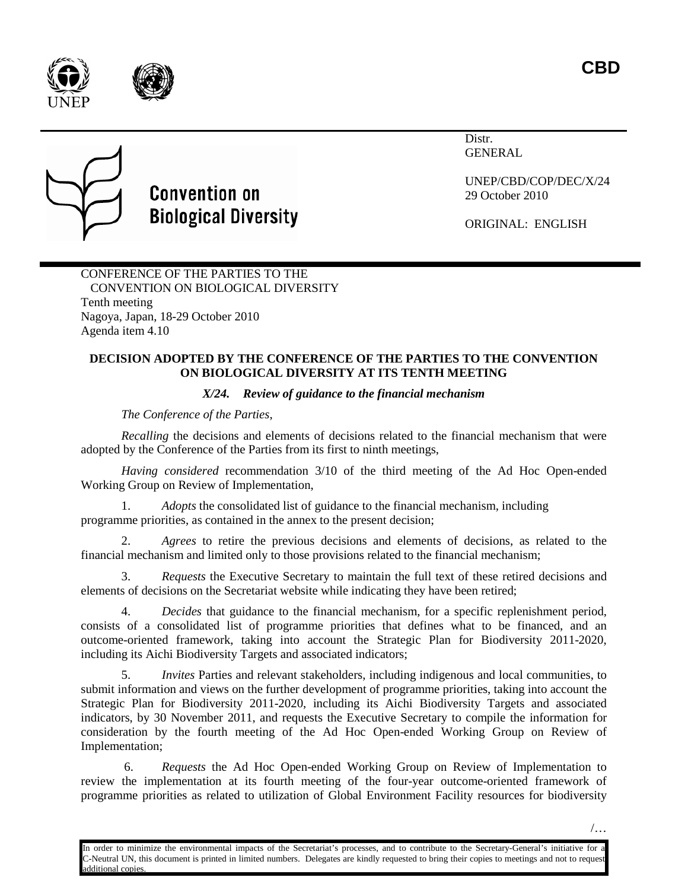**CBD**





Distr. GENERAL



# **Convention on Biological Diversity**

UNEP/CBD/COP/DEC/X/24 29 October 2010

ORIGINAL: ENGLISH

CONFERENCE OF THE PARTIES TO THE CONVENTION ON BIOLOGICAL DIVERSITY Tenth meeting Nagoya, Japan, 18-29 October 2010 Agenda item 4.10

# **DECISION ADOPTED BY THE CONFERENCE OF THE PARTIES TO THE CONVENTION ON BIOLOGICAL DIVERSITY AT ITS TENTH MEETING**

# *X/24. Review of guidance to the financial mechanism*

*The Conference of the Parties*,

*Recalling* the decisions and elements of decisions related to the financial mechanism that were adopted by the Conference of the Parties from its first to ninth meetings,

*Having considered* recommendation 3/10 of the third meeting of the Ad Hoc Open-ended Working Group on Review of Implementation,

1. *Adopts* the consolidated list of guidance to the financial mechanism, including programme priorities, as contained in the annex to the present decision;

2. *Agrees* to retire the previous decisions and elements of decisions, as related to the financial mechanism and limited only to those provisions related to the financial mechanism;

3. *Requests* the Executive Secretary to maintain the full text of these retired decisions and elements of decisions on the Secretariat website while indicating they have been retired;

4. *Decides* that guidance to the financial mechanism, for a specific replenishment period, consists of a consolidated list of programme priorities that defines what to be financed, and an outcome-oriented framework, taking into account the Strategic Plan for Biodiversity 2011-2020, including its Aichi Biodiversity Targets and associated indicators;

5. *Invites* Parties and relevant stakeholders, including indigenous and local communities, to submit information and views on the further development of programme priorities, taking into account the Strategic Plan for Biodiversity 2011-2020, including its Aichi Biodiversity Targets and associated indicators, by 30 November 2011, and requests the Executive Secretary to compile the information for consideration by the fourth meeting of the Ad Hoc Open-ended Working Group on Review of Implementation;

6. *Requests* the Ad Hoc Open-ended Working Group on Review of Implementation to review the implementation at its fourth meeting of the four-year outcome-oriented framework of programme priorities as related to utilization of Global Environment Facility resources for biodiversity

In order to minimize the environmental impacts of the Secretariat's processes, and to contribute to the Secretary-General's initiative for a C-Neutral UN, this document is printed in limited numbers. Delegates are kindly requested to bring their copies to meetings and not to request dditional copies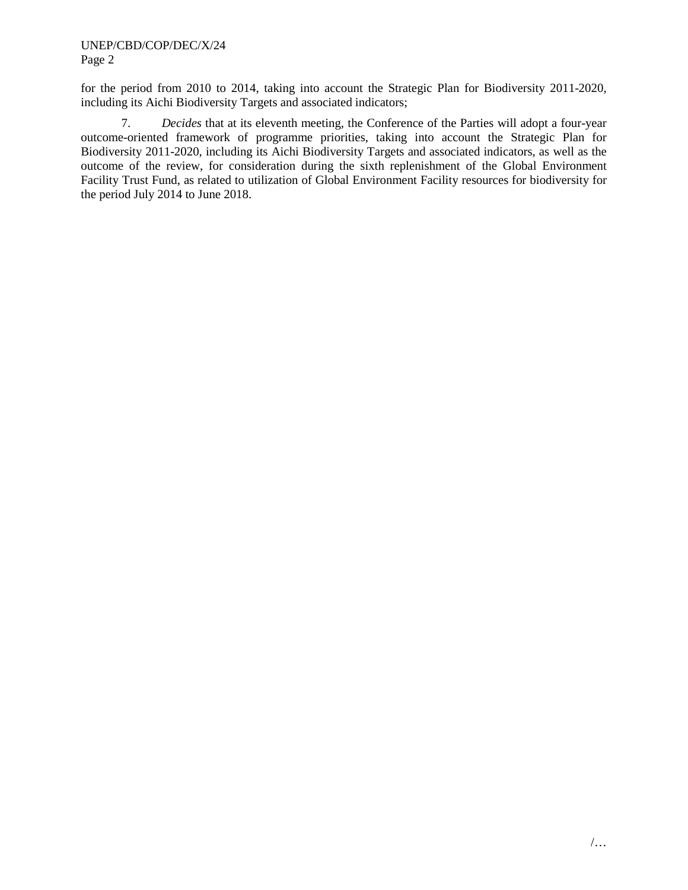for the period from 2010 to 2014, taking into account the Strategic Plan for Biodiversity 2011-2020, including its Aichi Biodiversity Targets and associated indicators;

7. *Decides* that at its eleventh meeting, the Conference of the Parties will adopt a four-year outcome-oriented framework of programme priorities, taking into account the Strategic Plan for Biodiversity 2011-2020, including its Aichi Biodiversity Targets and associated indicators, as well as the outcome of the review, for consideration during the sixth replenishment of the Global Environment Facility Trust Fund, as related to utilization of Global Environment Facility resources for biodiversity for the period July 2014 to June 2018.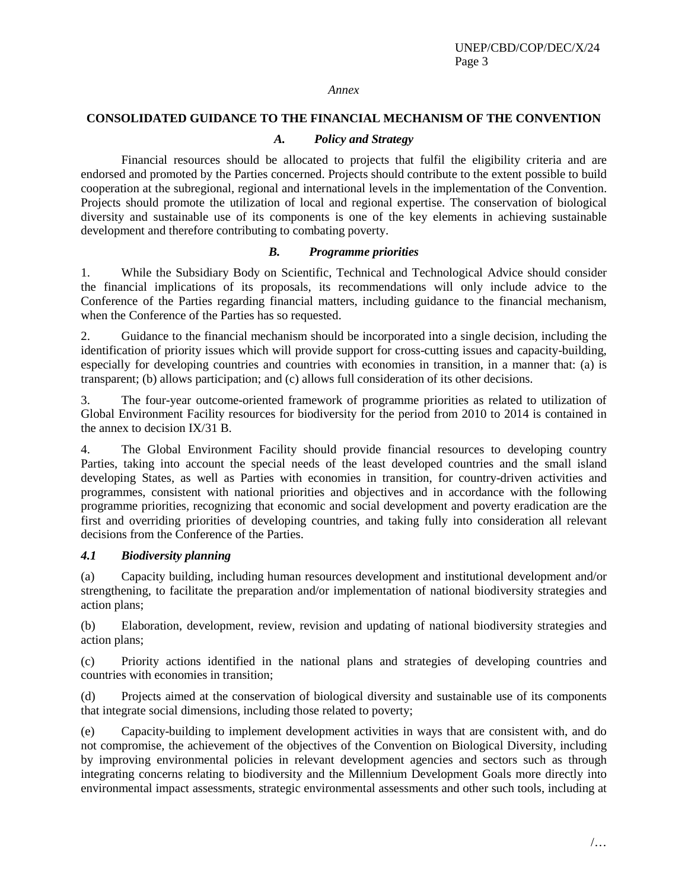#### *Annex*

## **CONSOLIDATED GUIDANCE TO THE FINANCIAL MECHANISM OF THE CONVENTION**

## *A. Policy and Strategy*

Financial resources should be allocated to projects that fulfil the eligibility criteria and are endorsed and promoted by the Parties concerned. Projects should contribute to the extent possible to build cooperation at the subregional, regional and international levels in the implementation of the Convention. Projects should promote the utilization of local and regional expertise. The conservation of biological diversity and sustainable use of its components is one of the key elements in achieving sustainable development and therefore contributing to combating poverty.

## *B. Programme priorities*

1. While the Subsidiary Body on Scientific, Technical and Technological Advice should consider the financial implications of its proposals, its recommendations will only include advice to the Conference of the Parties regarding financial matters, including guidance to the financial mechanism, when the Conference of the Parties has so requested.

2. Guidance to the financial mechanism should be incorporated into a single decision, including the identification of priority issues which will provide support for cross-cutting issues and capacity-building, especially for developing countries and countries with economies in transition, in a manner that: (a) is transparent; (b) allows participation; and (c) allows full consideration of its other decisions.

3. The four-year outcome-oriented framework of programme priorities as related to utilization of Global Environment Facility resources for biodiversity for the period from 2010 to 2014 is contained in the annex to decision IX/31 B.

4. The Global Environment Facility should provide financial resources to developing country Parties, taking into account the special needs of the least developed countries and the small island developing States, as well as Parties with economies in transition, for country-driven activities and programmes, consistent with national priorities and objectives and in accordance with the following programme priorities, recognizing that economic and social development and poverty eradication are the first and overriding priorities of developing countries, and taking fully into consideration all relevant decisions from the Conference of the Parties.

## *4.1 Biodiversity planning*

(a) Capacity building, including human resources development and institutional development and/or strengthening, to facilitate the preparation and/or implementation of national biodiversity strategies and action plans;

(b) Elaboration, development, review, revision and updating of national biodiversity strategies and action plans;

(c) Priority actions identified in the national plans and strategies of developing countries and countries with economies in transition;

(d) Projects aimed at the conservation of biological diversity and sustainable use of its components that integrate social dimensions, including those related to poverty;

(e) Capacity-building to implement development activities in ways that are consistent with, and do not compromise, the achievement of the objectives of the Convention on Biological Diversity, including by improving environmental policies in relevant development agencies and sectors such as through integrating concerns relating to biodiversity and the Millennium Development Goals more directly into environmental impact assessments, strategic environmental assessments and other such tools, including at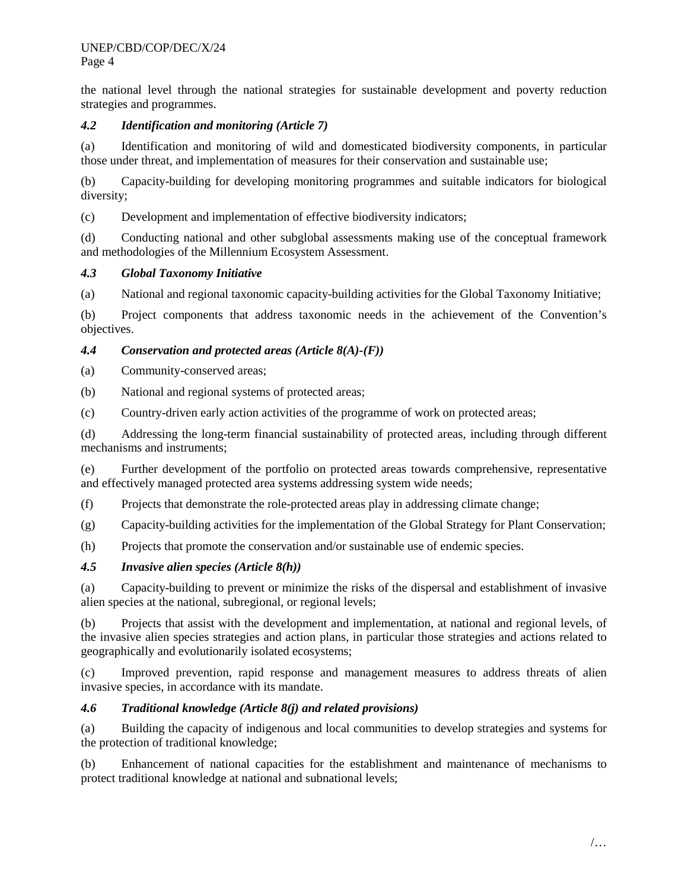the national level through the national strategies for sustainable development and poverty reduction strategies and programmes.

# *4.2 Identification and monitoring (Article 7)*

(a) Identification and monitoring of wild and domesticated biodiversity components, in particular those under threat, and implementation of measures for their conservation and sustainable use;

(b) Capacity-building for developing monitoring programmes and suitable indicators for biological diversity;

(c) Development and implementation of effective biodiversity indicators;

(d) Conducting national and other subglobal assessments making use of the conceptual framework and methodologies of the Millennium Ecosystem Assessment.

## *4.3 Global Taxonomy Initiative*

(a) National and regional taxonomic capacity-building activities for the Global Taxonomy Initiative;

(b) Project components that address taxonomic needs in the achievement of the Convention's objectives.

# *4.4 Conservation and protected areas (Article 8(A)-(F))*

(a) Community-conserved areas;

(b) National and regional systems of protected areas;

(c) Country-driven early action activities of the programme of work on protected areas;

(d) Addressing the long-term financial sustainability of protected areas, including through different mechanisms and instruments;

(e) Further development of the portfolio on protected areas towards comprehensive, representative and effectively managed protected area systems addressing system wide needs;

(f) Projects that demonstrate the role-protected areas play in addressing climate change;

(g) Capacity-building activities for the implementation of the Global Strategy for Plant Conservation;

(h) Projects that promote the conservation and/or sustainable use of endemic species.

## *4.5 Invasive alien species (Article 8(h))*

(a) Capacity-building to prevent or minimize the risks of the dispersal and establishment of invasive alien species at the national, subregional, or regional levels;

(b) Projects that assist with the development and implementation, at national and regional levels, of the invasive alien species strategies and action plans, in particular those strategies and actions related to geographically and evolutionarily isolated ecosystems;

(c) Improved prevention, rapid response and management measures to address threats of alien invasive species, in accordance with its mandate.

# *4.6 Traditional knowledge (Article 8(j) and related provisions)*

(a) Building the capacity of indigenous and local communities to develop strategies and systems for the protection of traditional knowledge;

(b) Enhancement of national capacities for the establishment and maintenance of mechanisms to protect traditional knowledge at national and subnational levels;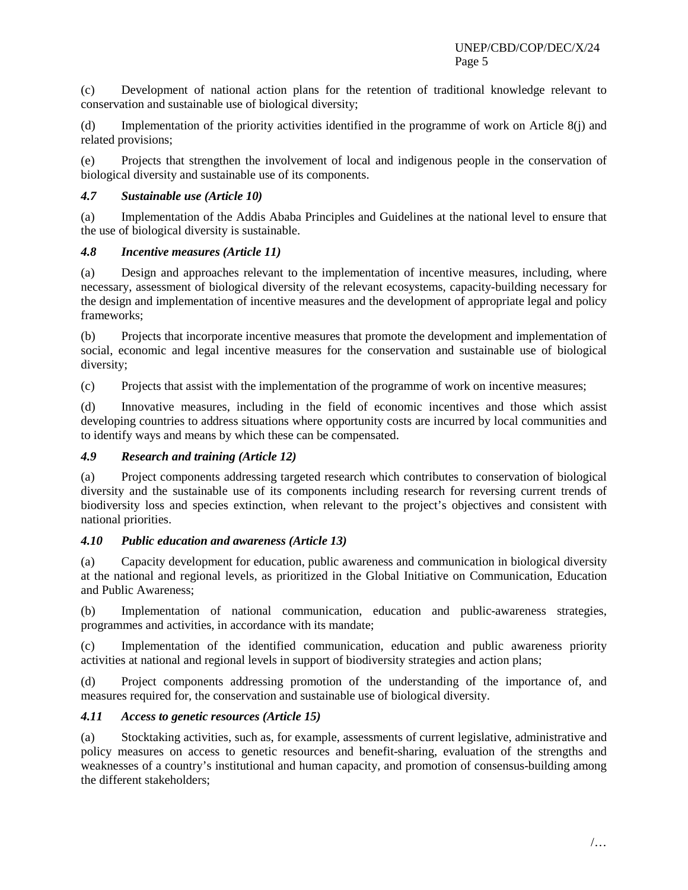(c) Development of national action plans for the retention of traditional knowledge relevant to conservation and sustainable use of biological diversity;

(d) Implementation of the priority activities identified in the programme of work on Article 8(j) and related provisions;

(e) Projects that strengthen the involvement of local and indigenous people in the conservation of biological diversity and sustainable use of its components.

## *4.7 Sustainable use (Article 10)*

(a) Implementation of the Addis Ababa Principles and Guidelines at the national level to ensure that the use of biological diversity is sustainable.

## *4.8 Incentive measures (Article 11)*

(a) Design and approaches relevant to the implementation of incentive measures, including, where necessary, assessment of biological diversity of the relevant ecosystems, capacity-building necessary for the design and implementation of incentive measures and the development of appropriate legal and policy frameworks;

(b) Projects that incorporate incentive measures that promote the development and implementation of social, economic and legal incentive measures for the conservation and sustainable use of biological diversity;

(c) Projects that assist with the implementation of the programme of work on incentive measures;

(d) Innovative measures, including in the field of economic incentives and those which assist developing countries to address situations where opportunity costs are incurred by local communities and to identify ways and means by which these can be compensated.

## *4.9 Research and training (Article 12)*

(a) Project components addressing targeted research which contributes to conservation of biological diversity and the sustainable use of its components including research for reversing current trends of biodiversity loss and species extinction, when relevant to the project's objectives and consistent with national priorities.

## *4.10 Public education and awareness (Article 13)*

(a) Capacity development for education, public awareness and communication in biological diversity at the national and regional levels, as prioritized in the Global Initiative on Communication, Education and Public Awareness;

(b) Implementation of national communication, education and public-awareness strategies, programmes and activities, in accordance with its mandate;

(c) Implementation of the identified communication, education and public awareness priority activities at national and regional levels in support of biodiversity strategies and action plans;

(d) Project components addressing promotion of the understanding of the importance of, and measures required for, the conservation and sustainable use of biological diversity.

# *4.11 Access to genetic resources (Article 15)*

(a) Stocktaking activities, such as, for example, assessments of current legislative, administrative and policy measures on access to genetic resources and benefit-sharing, evaluation of the strengths and weaknesses of a country's institutional and human capacity, and promotion of consensus-building among the different stakeholders;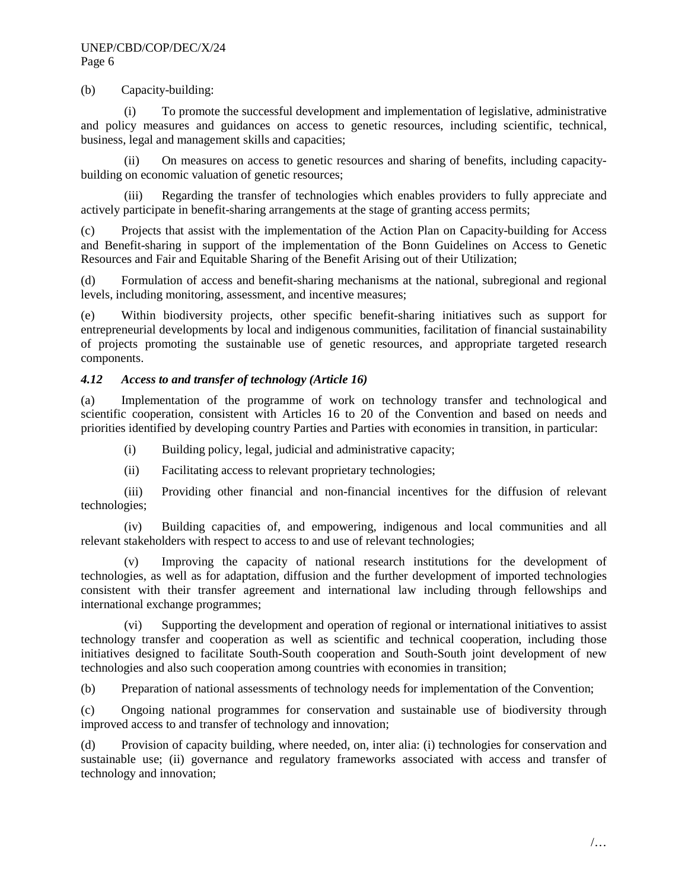#### (b) Capacity-building:

(i) To promote the successful development and implementation of legislative, administrative and policy measures and guidances on access to genetic resources, including scientific, technical, business, legal and management skills and capacities;

(ii) On measures on access to genetic resources and sharing of benefits, including capacitybuilding on economic valuation of genetic resources;

(iii) Regarding the transfer of technologies which enables providers to fully appreciate and actively participate in benefit-sharing arrangements at the stage of granting access permits;

(c) Projects that assist with the implementation of the Action Plan on Capacity-building for Access and Benefit-sharing in support of the implementation of the Bonn Guidelines on Access to Genetic Resources and Fair and Equitable Sharing of the Benefit Arising out of their Utilization;

(d) Formulation of access and benefit-sharing mechanisms at the national, subregional and regional levels, including monitoring, assessment, and incentive measures;

(e) Within biodiversity projects, other specific benefit-sharing initiatives such as support for entrepreneurial developments by local and indigenous communities, facilitation of financial sustainability of projects promoting the sustainable use of genetic resources, and appropriate targeted research components.

#### *4.12 Access to and transfer of technology (Article 16)*

(a) Implementation of the programme of work on technology transfer and technological and scientific cooperation, consistent with Articles 16 to 20 of the Convention and based on needs and priorities identified by developing country Parties and Parties with economies in transition, in particular:

(i) Building policy, legal, judicial and administrative capacity;

(ii) Facilitating access to relevant proprietary technologies;

(iii) Providing other financial and non-financial incentives for the diffusion of relevant technologies;

(iv) Building capacities of, and empowering, indigenous and local communities and all relevant stakeholders with respect to access to and use of relevant technologies;

Improving the capacity of national research institutions for the development of technologies, as well as for adaptation, diffusion and the further development of imported technologies consistent with their transfer agreement and international law including through fellowships and international exchange programmes;

(vi) Supporting the development and operation of regional or international initiatives to assist technology transfer and cooperation as well as scientific and technical cooperation, including those initiatives designed to facilitate South-South cooperation and South-South joint development of new technologies and also such cooperation among countries with economies in transition;

(b) Preparation of national assessments of technology needs for implementation of the Convention;

(c) Ongoing national programmes for conservation and sustainable use of biodiversity through improved access to and transfer of technology and innovation;

(d) Provision of capacity building, where needed, on, inter alia: (i) technologies for conservation and sustainable use; (ii) governance and regulatory frameworks associated with access and transfer of technology and innovation;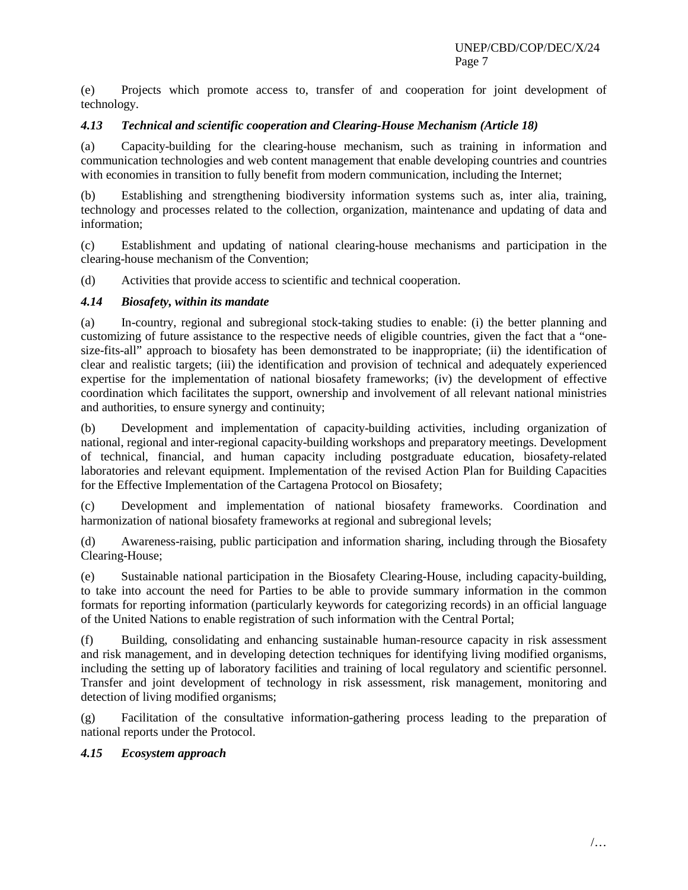(e) Projects which promote access to, transfer of and cooperation for joint development of technology.

#### *4.13 Technical and scientific cooperation and Clearing-House Mechanism (Article 18)*

(a) Capacity-building for the clearing-house mechanism, such as training in information and communication technologies and web content management that enable developing countries and countries with economies in transition to fully benefit from modern communication, including the Internet:

(b) Establishing and strengthening biodiversity information systems such as, inter alia, training, technology and processes related to the collection, organization, maintenance and updating of data and information;

(c) Establishment and updating of national clearing-house mechanisms and participation in the clearing-house mechanism of the Convention;

(d) Activities that provide access to scientific and technical cooperation.

#### *4.14 Biosafety, within its mandate*

(a) In-country, regional and subregional stock-taking studies to enable: (i) the better planning and customizing of future assistance to the respective needs of eligible countries, given the fact that a "onesize-fits-all" approach to biosafety has been demonstrated to be inappropriate; (ii) the identification of clear and realistic targets; (iii) the identification and provision of technical and adequately experienced expertise for the implementation of national biosafety frameworks; (iv) the development of effective coordination which facilitates the support, ownership and involvement of all relevant national ministries and authorities, to ensure synergy and continuity;

(b) Development and implementation of capacity-building activities, including organization of national, regional and inter-regional capacity-building workshops and preparatory meetings. Development of technical, financial, and human capacity including postgraduate education, biosafety-related laboratories and relevant equipment. Implementation of the revised Action Plan for Building Capacities for the Effective Implementation of the Cartagena Protocol on Biosafety;

(c) Development and implementation of national biosafety frameworks. Coordination and harmonization of national biosafety frameworks at regional and subregional levels;

(d) Awareness-raising, public participation and information sharing, including through the Biosafety Clearing-House;

(e) Sustainable national participation in the Biosafety Clearing-House, including capacity-building, to take into account the need for Parties to be able to provide summary information in the common formats for reporting information (particularly keywords for categorizing records) in an official language of the United Nations to enable registration of such information with the Central Portal;

(f) Building, consolidating and enhancing sustainable human-resource capacity in risk assessment and risk management, and in developing detection techniques for identifying living modified organisms, including the setting up of laboratory facilities and training of local regulatory and scientific personnel. Transfer and joint development of technology in risk assessment, risk management, monitoring and detection of living modified organisms;

(g) Facilitation of the consultative information-gathering process leading to the preparation of national reports under the Protocol.

## *4.15 Ecosystem approach*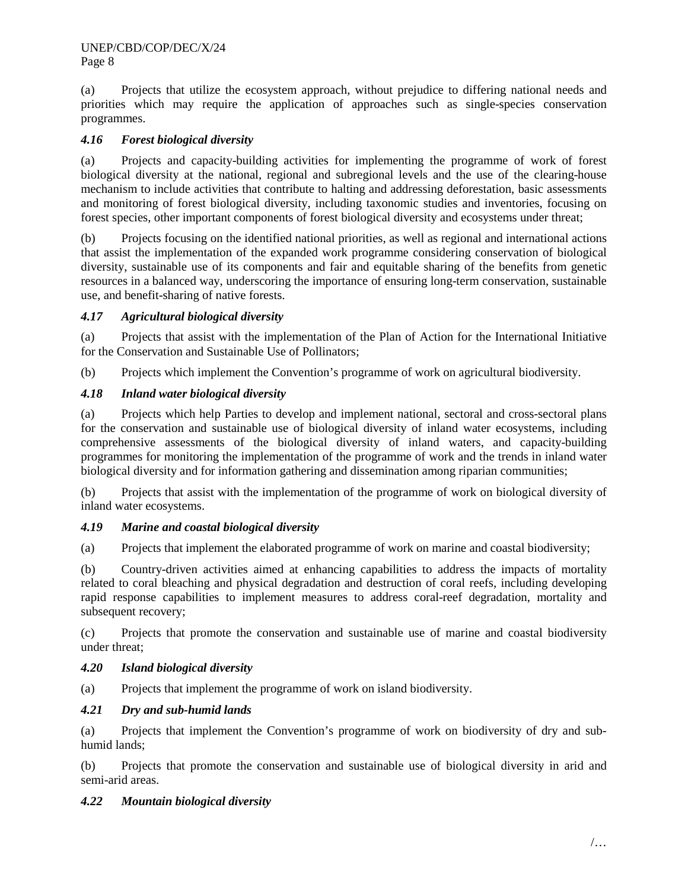(a) Projects that utilize the ecosystem approach, without prejudice to differing national needs and priorities which may require the application of approaches such as single-species conservation programmes.

# *4.16 Forest biological diversity*

(a) Projects and capacity-building activities for implementing the programme of work of forest biological diversity at the national, regional and subregional levels and the use of the clearing-house mechanism to include activities that contribute to halting and addressing deforestation, basic assessments and monitoring of forest biological diversity, including taxonomic studies and inventories, focusing on forest species, other important components of forest biological diversity and ecosystems under threat;

(b) Projects focusing on the identified national priorities, as well as regional and international actions that assist the implementation of the expanded work programme considering conservation of biological diversity, sustainable use of its components and fair and equitable sharing of the benefits from genetic resources in a balanced way, underscoring the importance of ensuring long-term conservation, sustainable use, and benefit-sharing of native forests.

# *4.17 Agricultural biological diversity*

(a) Projects that assist with the implementation of the Plan of Action for the International Initiative for the Conservation and Sustainable Use of Pollinators;

(b) Projects which implement the Convention's programme of work on agricultural biodiversity.

## *4.18 Inland water biological diversity*

(a) Projects which help Parties to develop and implement national, sectoral and cross-sectoral plans for the conservation and sustainable use of biological diversity of inland water ecosystems, including comprehensive assessments of the biological diversity of inland waters, and capacity-building programmes for monitoring the implementation of the programme of work and the trends in inland water biological diversity and for information gathering and dissemination among riparian communities;

(b) Projects that assist with the implementation of the programme of work on biological diversity of inland water ecosystems.

# *4.19 Marine and coastal biological diversity*

(a) Projects that implement the elaborated programme of work on marine and coastal biodiversity;

(b) Country-driven activities aimed at enhancing capabilities to address the impacts of mortality related to coral bleaching and physical degradation and destruction of coral reefs, including developing rapid response capabilities to implement measures to address coral-reef degradation, mortality and subsequent recovery;

(c) Projects that promote the conservation and sustainable use of marine and coastal biodiversity under threat;

# *4.20 Island biological diversity*

(a) Projects that implement the programme of work on island biodiversity.

## *4.21 Dry and sub-humid lands*

(a) Projects that implement the Convention's programme of work on biodiversity of dry and subhumid lands;

(b) Projects that promote the conservation and sustainable use of biological diversity in arid and semi-arid areas.

## *4.22 Mountain biological diversity*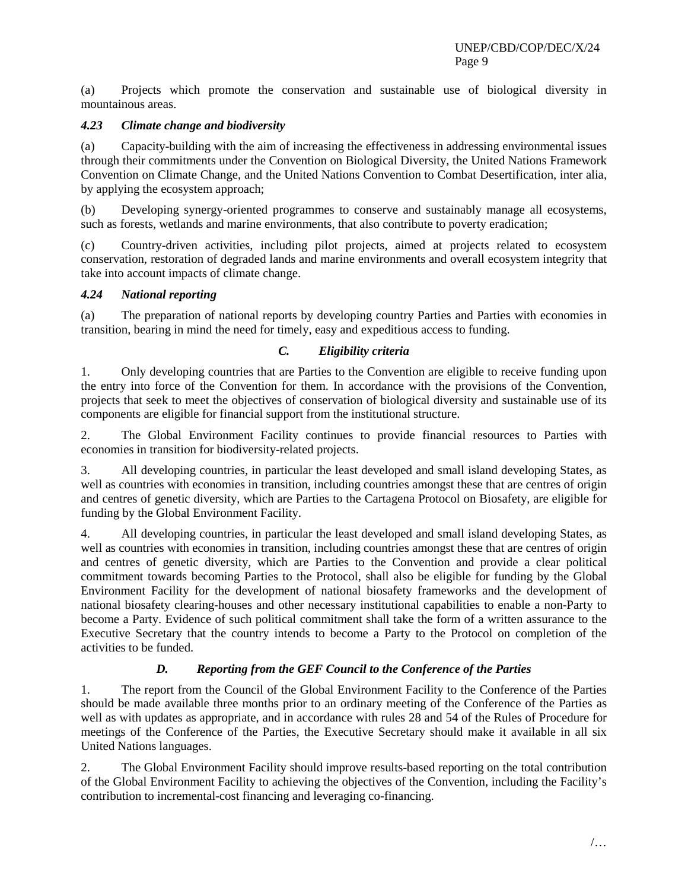(a) Projects which promote the conservation and sustainable use of biological diversity in mountainous areas.

## *4.23 Climate change and biodiversity*

(a) Capacity-building with the aim of increasing the effectiveness in addressing environmental issues through their commitments under the Convention on Biological Diversity, the United Nations Framework Convention on Climate Change, and the United Nations Convention to Combat Desertification, inter alia, by applying the ecosystem approach;

(b) Developing synergy-oriented programmes to conserve and sustainably manage all ecosystems, such as forests, wetlands and marine environments, that also contribute to poverty eradication;

(c) Country-driven activities, including pilot projects, aimed at projects related to ecosystem conservation, restoration of degraded lands and marine environments and overall ecosystem integrity that take into account impacts of climate change.

## *4.24 National reporting*

(a) The preparation of national reports by developing country Parties and Parties with economies in transition, bearing in mind the need for timely, easy and expeditious access to funding.

## *C. Eligibility criteria*

1. Only developing countries that are Parties to the Convention are eligible to receive funding upon the entry into force of the Convention for them. In accordance with the provisions of the Convention, projects that seek to meet the objectives of conservation of biological diversity and sustainable use of its components are eligible for financial support from the institutional structure.

2. The Global Environment Facility continues to provide financial resources to Parties with economies in transition for biodiversity-related projects.

3. All developing countries, in particular the least developed and small island developing States, as well as countries with economies in transition, including countries amongst these that are centres of origin and centres of genetic diversity, which are Parties to the Cartagena Protocol on Biosafety, are eligible for funding by the Global Environment Facility.

4. All developing countries, in particular the least developed and small island developing States, as well as countries with economies in transition, including countries amongst these that are centres of origin and centres of genetic diversity, which are Parties to the Convention and provide a clear political commitment towards becoming Parties to the Protocol, shall also be eligible for funding by the Global Environment Facility for the development of national biosafety frameworks and the development of national biosafety clearing-houses and other necessary institutional capabilities to enable a non-Party to become a Party. Evidence of such political commitment shall take the form of a written assurance to the Executive Secretary that the country intends to become a Party to the Protocol on completion of the activities to be funded.

# *D. Reporting from the GEF Council to the Conference of the Parties*

1. The report from the Council of the Global Environment Facility to the Conference of the Parties should be made available three months prior to an ordinary meeting of the Conference of the Parties as well as with updates as appropriate, and in accordance with rules 28 and 54 of the Rules of Procedure for meetings of the Conference of the Parties, the Executive Secretary should make it available in all six United Nations languages.

2. The Global Environment Facility should improve results-based reporting on the total contribution of the Global Environment Facility to achieving the objectives of the Convention, including the Facility's contribution to incremental-cost financing and leveraging co-financing.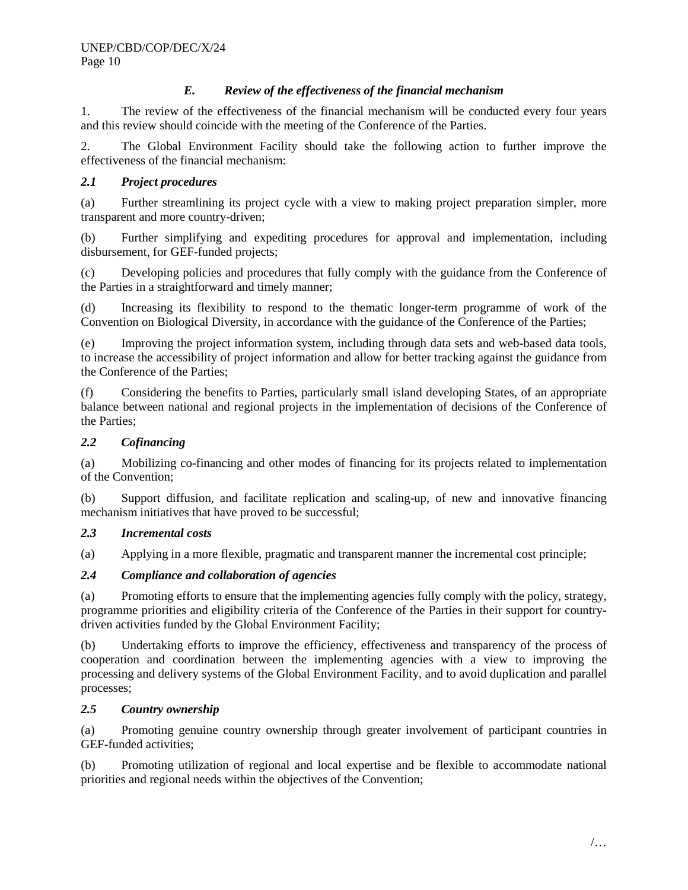# *E. Review of the effectiveness of the financial mechanism*

1. The review of the effectiveness of the financial mechanism will be conducted every four years and this review should coincide with the meeting of the Conference of the Parties.

2. The Global Environment Facility should take the following action to further improve the effectiveness of the financial mechanism:

# *2.1 Project procedures*

(a) Further streamlining its project cycle with a view to making project preparation simpler, more transparent and more country-driven;

(b) Further simplifying and expediting procedures for approval and implementation, including disbursement, for GEF-funded projects;

(c) Developing policies and procedures that fully comply with the guidance from the Conference of the Parties in a straightforward and timely manner;

(d) Increasing its flexibility to respond to the thematic longer-term programme of work of the Convention on Biological Diversity, in accordance with the guidance of the Conference of the Parties;

(e) Improving the project information system, including through data sets and web-based data tools, to increase the accessibility of project information and allow for better tracking against the guidance from the Conference of the Parties;

(f) Considering the benefits to Parties, particularly small island developing States, of an appropriate balance between national and regional projects in the implementation of decisions of the Conference of the Parties;

## *2.2 Cofinancing*

(a) Mobilizing co-financing and other modes of financing for its projects related to implementation of the Convention;

(b) Support diffusion, and facilitate replication and scaling-up, of new and innovative financing mechanism initiatives that have proved to be successful;

# *2.3 Incremental costs*

(a) Applying in a more flexible, pragmatic and transparent manner the incremental cost principle;

# *2.4 Compliance and collaboration of agencies*

(a) Promoting efforts to ensure that the implementing agencies fully comply with the policy, strategy, programme priorities and eligibility criteria of the Conference of the Parties in their support for countrydriven activities funded by the Global Environment Facility;

(b) Undertaking efforts to improve the efficiency, effectiveness and transparency of the process of cooperation and coordination between the implementing agencies with a view to improving the processing and delivery systems of the Global Environment Facility, and to avoid duplication and parallel processes;

## *2.5 Country ownership*

(a) Promoting genuine country ownership through greater involvement of participant countries in GEF-funded activities;

(b) Promoting utilization of regional and local expertise and be flexible to accommodate national priorities and regional needs within the objectives of the Convention;